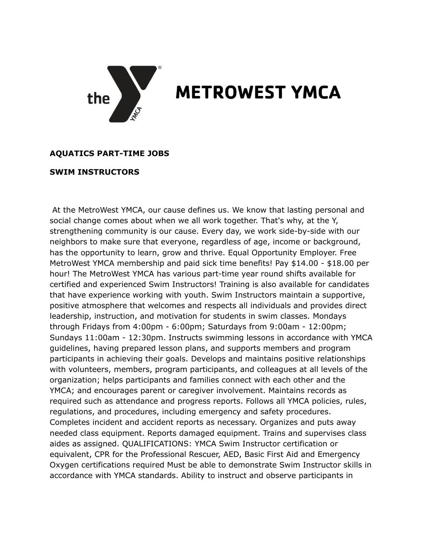

## **METROWEST YMCA**

## **AQUATICS PART-TIME JOBS**

## **SWIM INSTRUCTORS**

At the MetroWest YMCA, our cause defines us. We know that lasting personal and social change comes about when we all work together. That's why, at the Y, strengthening community is our cause. Every day, we work side-by-side with our neighbors to make sure that everyone, regardless of age, income or background, has the opportunity to learn, grow and thrive. Equal Opportunity Employer. Free MetroWest YMCA membership and paid sick time benefits! Pay \$14.00 - \$18.00 per hour! The MetroWest YMCA has various part-time year round shifts available for certified and experienced Swim Instructors! Training is also available for candidates that have experience working with youth. Swim Instructors maintain a supportive, positive atmosphere that welcomes and respects all individuals and provides direct leadership, instruction, and motivation for students in swim classes. Mondays through Fridays from 4:00pm - 6:00pm; Saturdays from 9:00am - 12:00pm; Sundays 11:00am - 12:30pm. Instructs swimming lessons in accordance with YMCA guidelines, having prepared lesson plans, and supports members and program participants in achieving their goals. Develops and maintains positive relationships with volunteers, members, program participants, and colleagues at all levels of the organization; helps participants and families connect with each other and the YMCA; and encourages parent or caregiver involvement. Maintains records as required such as attendance and progress reports. Follows all YMCA policies, rules, regulations, and procedures, including emergency and safety procedures. Completes incident and accident reports as necessary. Organizes and puts away needed class equipment. Reports damaged equipment. Trains and supervises class aides as assigned. QUALIFICATIONS: YMCA Swim Instructor certification or equivalent, CPR for the Professional Rescuer, AED, Basic First Aid and Emergency Oxygen certifications required Must be able to demonstrate Swim Instructor skills in accordance with YMCA standards. Ability to instruct and observe participants in